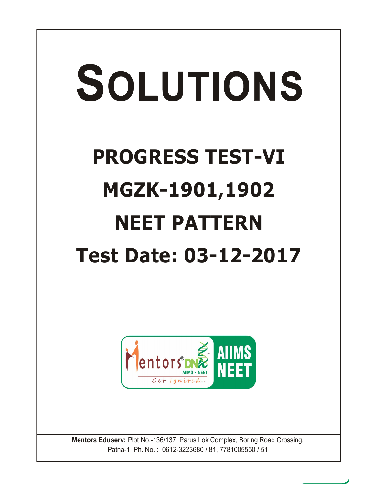# SOLUTIONS **PROGRESS TEST-VI MGZK-1901,1902 NEET PATTERN Test Date: 03-12-2017**



**Mentors Eduserv:** Plot No.-136/137, Parus Lok Complex, Boring Road Crossing, Patna-1, Ph. No. : 0612-3223680 / 81, 7781005550 / 51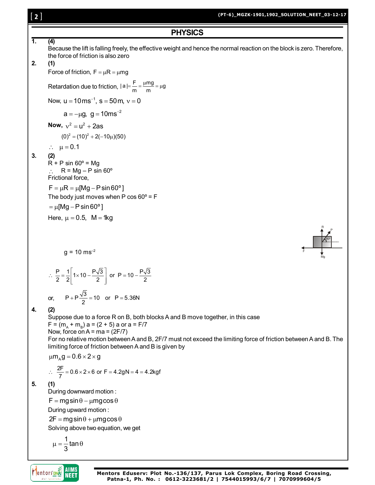# [ **2** ]

**PHYSICS**

**1. (4)** Because the lift is falling freely, the effective weight and hence the normal reaction on the block is zero. Therefore, the force of friction is also zero **2. (1)** Force of friction,  $F = \mu R = \mu mg$ Retardation due to friction,  $|a| = \frac{F}{m} = \frac{\mu mg}{m} = \mu g$  $=\frac{F}{\phantom{1}}=\frac{\mu mg}{\mu g}=\mu g$ Now,  $u = 10 \text{ ms}^{-1}$ ,  $s = 50 \text{ m}$ ,  $v = 0$  $a = -\mu g$ ,  $g = 10$ ms<sup>-2</sup> **Now,**  $v^2 = u^2 + 2as$  $(0)^2 = (10)^2 + 2(-10\mu)(50)$  $\therefore$   $\mu = 0.1$ **3. (2)**  $R + P \sin 60^\circ = Mg$  $R = Mg - P \sin 60^\circ$ Frictional force,  $F = \mu R = \mu [Mg - P \sin 60^\circ]$ The body just moves when P cos  $60^\circ$  = F  $= \mu$ [Mg - P sin 60°] Here,  $\mu = 0.5$ , M = 1kg R P 60º  $q = 10$  ms<sup>-2</sup> F Mg  $\therefore \frac{P}{2} = \frac{1}{2} \left[ 1 \times 10 - \frac{P\sqrt{3}}{2} \right]$  or P = 10 - $\frac{P}{2} = \frac{1}{2} \left| 1 \times 10 - \frac{P\sqrt{3}}{2} \right|$  or P = 10  $-\frac{P\sqrt{3}}{2}$ or,  $P + P\frac{\sqrt{3}}{2} = 10$  or  $P = 5.36N$ **4. (2)** Suppose due to a force R on B, both blocks A and B move together, in this case  $F = (m_{A} + m_{B}) a = (2 + 5) a$  or a = F/7 Now, force on  $A = ma = (2F/7)$ For no relative motion between A and B, 2F/7 must not exceed the limiting force of friction between A and B. The limiting force of friction between A and B is given by  $\mu$ m<sub> $\alpha$ </sub>g = 0.6 × 2 × g  $\therefore \frac{2F}{7} = 0.6 \times 2 \times 6$  or F = 4.2gN = 4 = 4.2kgf **5. (1)** During downward motion :  $F = mg\sin\theta - \mu mg\cos\theta$ During upward motion :  $2F = mg\sin\theta + \mu mg\cos\theta$ Solving above two equation, we get 1<br>– tan  $\mu = \frac{1}{2} \tan \theta$ 3 **AIIMS Mentors DNA Mentors Eduserv: Plot No.-136/137, Parus Lok Complex, Boring Road Crossing,** NEET **Patna-1, Ph. No. : 0612-3223681/2 | 7544015993/6/7 | 7070999604/5**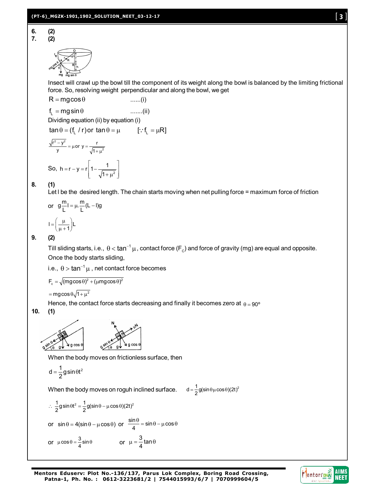

Insect will crawl up the bowl till the component of its weight along the bowl is balanced by the limiting frictional force. So, resolving weight perpendicular and along the bowl, we get

$$
R = mg\cos\theta
$$
 ......(i)  
\n
$$
f_L = mg\sin\theta
$$
 ......(ii)  
\nDividing equation (ii) by equation (i)

$$
tan \theta = (f_L / r) \text{ or } tan \theta = \mu \qquad [::f_L = \mu R]
$$

$$
\frac{\sqrt{r^2 - y^2}}{y} = \mu \text{ or } y = \frac{r}{\sqrt{1 + \mu^2}}
$$
  
So,  $h = r - y = r \left[ 1 - \frac{1}{\sqrt{1 + \mu^2}} \right]$ 

# **8. (1)**

Let I be the desired length. The chain starts moving when net pulling force = maximum force of friction

or 
$$
g\frac{m}{L}I = \mu \cdot \frac{m}{L}(L - I)g
$$

$$
I = \left(\frac{\mu}{\mu + 1}\right) L
$$

# **9. (2)**

Till sliding starts, i.e.,  $\,\theta$   $<$  tan $^{-1}$   $\mu$  , contact force (F $_{\rm c}$ ) and force of gravity (mg) are equal and opposite. Once the body starts sliding,

i.e.,  $\, \theta >$  tan $^{-1} \, \mu$  , net contact force becomes

$$
F_c = \sqrt{(mg\cos\theta)^2 + (\mu mg\cos\theta)^2}
$$

 $=$  mgcos $\theta\sqrt{1+\mu^2}$ 

Hence, the contact force starts decreasing and finally it becomes zero at  $\theta = 90^{\circ}$ 

**10. (1)**



When the body moves on frictionless surface, then

$$
d=\frac{1}{2}g\,sin\theta t^2
$$

When the body moves on roguh inclined surface.  $d = \frac{1}{2}$ g(sin $\theta \mu \cos \theta$ )(2t)<sup>2</sup>

$$
\therefore \frac{1}{2}g\sin\theta t^2 = \frac{1}{2}g(\sin\theta - \mu\cos\theta)(2t)^2
$$
  
or  $\sin\theta = 4(\sin\theta - \mu\cos\theta)$  or  $\frac{\sin\theta}{4} = \sin\theta - \mu\cos\theta$   
or  $\mu\cos\theta = \frac{3}{4}\sin\theta$  or  $\mu = \frac{3}{4}\tan\theta$ 

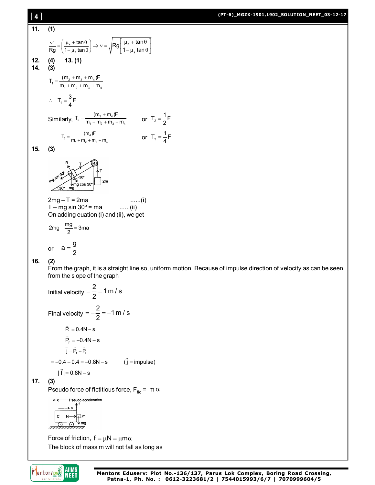## **(PT-6)\_MGZK-1901,1902\_SOLUTION\_NEET\_03-12-17**

**11. (1)**

11. (1)  
\n
$$
\int_{\frac{1}{R}}^{9} = \int_{\frac{\{1, 1\}}{1 - \mu_{\alpha}} \tan \theta}^{9} dx = \sqrt{Rg \left[ \frac{\mu_{\alpha} + \tan \theta}{1 - \mu_{\alpha} \tan \theta} \right]}
$$
\n12. (4) 13. (1)  
\n14. (3)  
\n15.  $T_1 = \frac{m_2 + m_3 + m_4 \sqrt{F}}{m_1 + m_2 + m_3 + m_4}$   
\n $\therefore T_1 = \frac{3}{4}F$   
\nSimilarly,  $T_2 = \frac{(m_2 + m_3 + m_4)F}{m_1 + m_2 + m_2 + m_3 + m_4}$  or  $T_2 = \frac{1}{2}F$   
\n15. (3)  
\n
$$
\int_{\frac{\sqrt{2}}{1 - \frac{1}{\sqrt{2}}} \frac{1}{\sqrt{2}} \tan \frac{1}{\sqrt{2}}} \int_{\frac{\sqrt{2}}{1 - \frac{1}{\sqrt{2}}} \frac{1}{\sqrt{2}}} \tan \frac{1}{\sqrt{2}} \tan \frac{1}{\sqrt{2}}} \cot \frac{1}{\sqrt{2}} \tan \frac{1}{\sqrt{2}} \tan \frac{1}{\sqrt{2}}} \cot \frac{1}{\sqrt{2}} \tan \frac{1}{\sqrt{2}} \tan \frac{1}{\sqrt{2}} \tan \frac{1}{\sqrt{2}}} \cot \frac{1}{\sqrt{2}} \tan \frac{1}{\sqrt{2}} \tan \frac{1}{\sqrt{2}} \tan \frac{1}{\sqrt{2}} \tan \frac{1}{\sqrt{2}} \tan \frac{1}{\sqrt{2}} \tan \frac{1}{\sqrt{2}} \tan \frac{1}{\sqrt{2}} \tan \frac{1}{\sqrt{2}} \tan \frac{1}{\sqrt{2}} \tan \frac{1}{\sqrt{2}} \tan \frac{1}{\sqrt{2}} \tan \frac{1}{\sqrt{2}} \tan \frac{1}{\sqrt{2}} \tan \frac{1}{\sqrt{2}} \tan \frac{1}{\sqrt{2}} \tan \frac{1}{\sqrt{2}} \tan \frac{1}{\sqrt{2}} \tan \frac{1}{\sqrt{2}} \tan \frac{1}{\sqrt{2}} \tan \frac{1}{\sqrt{2}} \tan \frac{1}{\sqrt{2}} \tan \frac{1}{\sqrt{2}} \tan \frac{1}{\sqrt{2}} \tan \frac{1}{\sqrt{
$$

# **17. (3)**

Pseudo force of fictitious force,  $F_{\text{fic}} = m \alpha$ 

$$
\alpha \longleftarrow \text{Pseudo acceleration}
$$
\n
$$
\overrightarrow{C} \qquad \qquad \downarrow \qquad \uparrow
$$
\n
$$
\begin{array}{c}\nC & N \longrightarrow \text{Im} \\
\hline\n\text{Im} \\
\hline\n\text{Im} \\
\text{Im} \\
\hline\n\text{Im} \\
\text{Im} \\
\text{Im} \\
\text{Im} \\
\text{Im} \\
\text{Im} \\
\text{Im} \\
\text{Im} \\
\text{Im} \\
\text{Im} \\
\text{Im} \\
\text{Im} \\
\text{Im} \\
\text{Im} \\
\text{Im} \\
\text{Im} \\
\text{Im} \\
\text{Im} \\
\text{Im} \\
\text{Im} \\
\text{Im} \\
\text{Im} \\
\text{Im} \\
\text{Im} \\
\text{Im} \\
\text{Im} \\
\text{Im} \\
\text{Im} \\
\text{Im} \\
\text{Im} \\
\text{Im} \\
\text{Im} \\
\text{Im} \\
\text{Im} \\
\text{Im} \\
\text{Im} \\
\text{Im} \\
\text{Im} \\
\text{Im} \\
\text{Im} \\
\text{Im} \\
\text{Im} \\
\text{Im} \\
\text{Im} \\
\text{Im} \\
\text{Im} \\
\text{Im} \\
\text{Im} \\
\text{Im} \\
\text{Im} \\
\text{Im} \\
\text{Im} \\
\text{Im} \\
\text{Im} \\
\text{Im} \\
\text{Im} \\
\text{Im} \\
\text{Im} \\
\text{Im} \\
\text{Im} \\
\text{Im} \\
\text{Im} \\
\text{Im} \\
\text{Im} \\
\text{Im} \\
\text{Im} \\
\text{Im} \\
\text{Im} \\
\text{Im} \\
\text{Im} \\
\text{Im} \\
\text{Im} \\
\text{Im} \\
\text{Im} \\
\text{Im} \\
\text{Im} \\
\text{Im} \\
\text{Im} \\
\text{Im} \\
\text{Im} \\
\text{Im} \\
\text{Im} \\
\text{Im} \\
\text{Im} \\
\text{Im} \\
\text{Im} \\
\text{Im} \\
\text{Im} \\
\text{Im} \\
\text{Im} \\
\text{Im} \\
\text{Im} \\
\text{Im} \\
\text{Im} \\
\text{Im} \\
\text{Im} \\
\text{Im} \\
\text{Im} \\
\text{Im} \\
\text{Im} \\
\text{Im} \\
\text{Im} \\
\text{Im} \\
\text{Im} \\
\text{Im} \\
\text{Im} \\
\text{Im} \\
\text{Im} \\
\text{Im} \\
\text{Im} \\
$$

Force of friction,  $f = \mu N = \mu m \alpha$ The block of mass m will not fall as long as

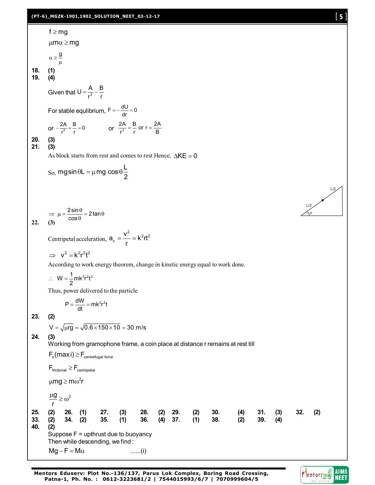# **(PT-6)\_MGZK-1901,1902\_SOLUTION\_NEET\_03-12-17** [ **5** ]

f ≥ mg  
\n
$$
\mu m\alpha \ge mg
$$
  
\n $\alpha > \frac{g}{\mu}$   
\n19. (4)  
\n6(4)  
\n6(4)  
\n6(4)  
\n $\frac{2A}{r^2} + \frac{B}{r} = 0$  or  $\frac{2A}{r^2} - \frac{B}{r} \text{ or } r = \frac{2A}{B}$   
\n20. (3)  
\n21. (3)  
\n22. (4)  
\n $\alpha$   
\n23. (5)  
\n $\alpha$   
\n $\alpha$   
\n $\alpha$   
\n $\alpha$   
\n $\alpha$   
\n $\alpha$   
\n $\alpha$   
\n $\alpha$   
\n $\alpha$   
\n $\alpha$   
\n $\alpha$   
\n $\alpha$   
\n $\alpha$   
\n $\alpha$   
\n $\alpha$   
\n $\alpha$   
\n $\alpha$   
\n $\alpha$   
\n $\alpha$   
\n $\alpha$   
\n $\alpha$   
\n $\alpha$   
\n $\alpha$   
\n $\alpha$   
\n $\alpha$   
\n $\alpha$   
\n $\alpha$   
\n $\alpha$   
\n $\alpha$   
\n $\alpha$   
\n $\alpha$   
\n $\alpha$   
\n $\alpha$   
\n $\alpha$   
\n $\alpha$   
\n $\alpha$   
\n $\alpha$   
\n $\alpha$   
\n $\alpha$   
\n $\alpha$   
\n $\alpha$   
\n $\alpha$   
\n $\alpha$   
\n $\alpha$   
\n $\alpha$   
\n $\alpha$   
\n $\alpha$   
\n $\alpha$   
\n $\alpha$   
\n $\alpha$   
\n $\alpha$   
\n $\alpha$   
\n $\alpha$   
\n $\alpha$   
\n $\alpha$   
\n $\alpha$   
\n $\alpha$   
\n $\alpha$   
\n<

**Mentors Eduserv: Plot No.-136/137, Parus Lok Complex, Boring Road Crossing, Patna-1, Ph. No. : 0612-3223681/2 | 7544015993/6/7 | 7070999604/5**

Mentors DAS AIIMS

 $L/2$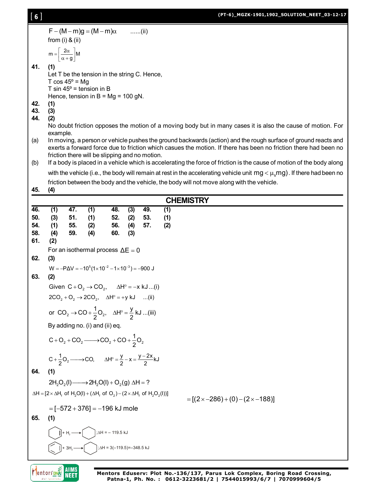[ **6** ]

```
F - (M - m)g = (M - m)\alpha ......(ii)
       from (i) & (ii)
        m = \frac{2\alpha}{\alpha + g} M=\left[\frac{2\alpha}{\alpha+g}\right]N
41. (1)
       Let T be the tension in the string C. Hence,
       T \cos 45^\circ = MqT sin 45^\circ = tension in B
       Hence, tension in B = MQ = 100 qN.
42. (1)
43. (3)
44. (2)
       No doubt friction opposes the motion of a moving body but in many cases it is also the cause of motion. For
       example.
(a) In moving, a person or vehicle pushes the ground backwards (action) and the rough surface of ground reacts and
       exerts a forward force due to friction which casues the motion. If there has been no friction there had been no
       friction there will be slipping and no motion.
(b) If a body is placed in a vehicle which is accelerating the force of friction is the cause of motion of the body along
       with the vehicle (i.e., the body will remain at rest in the accelerating vehicle unit mg<\mu_{\rm s}mg). If there had been no
       friction between the body and the vehicle, the body will not move along with the vehicle.
45. (4)
                                                            CHEMISTRY
46. (1) 47. (1) 48. (3) 49. (1)
50. (3) 51. (1) 52. (2) 53. (1)
54. (1) 55. (2) 56. (4) 57. (2)
58. (4) 59. (4) 60. (3)
61. (2)
       For an isothermal process \Delta F = 062. (3)
       W = -P\Delta V = -10^5(1 \times 10^{-2} - 1 \times 10^{-3}) = -900 J
63. (2)
       Given C + O_2 \rightarrow CO_2, \Delta H^{\circ} = -x kJ...(i)
       2CO_2 + O_2 \rightarrow 2CO_2, \Delta H^{\circ} = +y kJ ...(ii)
        or CO_2 \rightarrow CO + \frac{1}{2}O_2, \Delta H^{\circ} = \frac{y}{2} kJ ...(iii)
       By adding no. (i) and (ii) eq.
        C + O_2 + CO_2 \longrightarrow CO_2 + CO + \frac{1}{2}O_2C + \frac{1}{2}O_2 \longrightarrow CO, \Delta H^\circ = \frac{y}{2} - x = \frac{y - 2x}{2} kJ+\frac{1}{2}O_2 \longrightarrow CO, \Delta H^{\circ} = \frac{y}{2} - x = \frac{y-1}{2}64. (1)
       2H_2O_2(I) \longrightarrow 2H_2O(I) + O_2(g) \Delta H = ?\Delta H = [2 \times \Delta H_f of H_2O(l) + (\Delta H_f of O_2) - (2 \times \Delta H_f of H_2O_2(l))]=[(2 \times -286) + (0) - (2 \times -188)]=[-572 + 376] = -196 kJ mole
65. (1)
              +H<sub>2</sub>\hat{A}H = – 119.5 kJ
```


+  $3H<sub>2</sub>$ 

 $; \Delta H = 3(-119.5) = -348.5 \text{ kJ}$ 

**Mentors Eduserv: Plot No.-136/137, Parus Lok Complex, Boring Road Crossing, Patna-1, Ph. No. : 0612-3223681/2 | 7544015993/6/7 | 7070999604/5**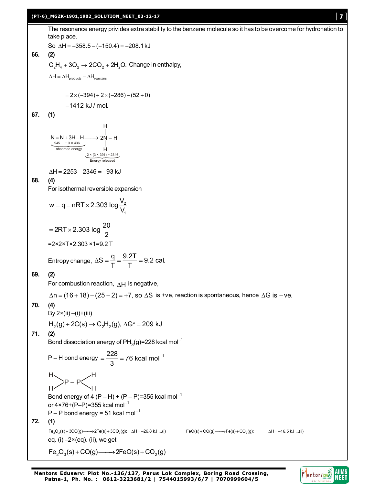### **(PT-6)\_MGZK-1901,1902\_SOLUTION\_NEET\_03-12-17** [ **7** ]

The resonance energy privides extra stability to the benzene molecule so it has to be overcome for hydronation to take place.

So 
$$
\Delta H = -358.5 - (-150.4) = -208.1 \text{ kJ}
$$

**66. (2)**  $C_2H_4 + 3O_2 \rightarrow 2CO_2 + 2H_2O$ . Change in enthalpy,

 $\Delta H = \Delta H_{\text{products}} - \Delta H_{\text{reactions}}$ 

$$
= 2 \times (-394) + 2 \times (-286) - (52 + 0)
$$
  
-1412 kJ/mol.

**67. (1)**

H  
\n
$$
N \equiv N + 3H - H \longrightarrow 2N - H
$$
\n
$$
\xrightarrow[absorbed energy]{945 + 3 \times 436} H
$$
\n
$$
\xrightarrow[absorbed energy]{2 \times (3 \times 391) = 2346}
$$
\nEnergy released

 $\Delta H = 2253 - 2346 = -93$  kJ

**68. (4)**

For isothermal reversible expansion

$$
w = q = nRT \times 2.303 \log \frac{V_2}{V_1}
$$

$$
= 2RT \times 2.303 \log \frac{20}{2}
$$
  
=2×2×T×2.303×1=9.2 T

Entropy change, 
$$
\Delta S = \frac{q}{T} = \frac{9.2T}{T} = 9.2
$$
 cal.

## **69. (2)**

For combustion reaction,  $\Delta H$  is negative,

 $\Delta n = (16 + 18) - (25 - 2) = +7$ , so  $\Delta S$  is +ve, reaction is spontaneous, hence  $\Delta G$  is -ve.

## **70. (4)**

$$
By 2 \times (ii) - (i) + (iii)
$$

 $H_2(g) + 2C(s) \rightarrow C_2H_2(g)$ ,  $\Delta G^{\circ} = 209$  kJ

# **71. (2)**

Bond dissociation energy of PH $_3$ (g)=228 kcal mol $^{-1}$ 

P – H bond energy = 
$$
\frac{228}{3}
$$
 = 76 kcal mol<sup>-1</sup>  
H

P – P

$$
H \sim H
$$
  
Bond energy of 4 (P – H) + (P – P)=355 kcal mol<sup>-1</sup>

or  $4 \times 76 + (P-P) = 355$  kcal mol<sup>-1</sup>

$$
P - P
$$
 bond energy = 51 kcal mol<sup>-1</sup>

$$
72. (1)
$$

 $\mathsf{Fe}_2\mathrm{O}_3(\mathsf{s}) + 3\mathrm{CO}(\mathsf{g})$ — $\longrightarrow$ 2Fe $(\mathsf{s}) + 3\mathrm{CO}_2(\mathsf{g})$ ;  $\Delta \mathsf{H} = -26.8$  kJ ...(ii)  $\qquad \qquad \mathsf{Fe}(\mathsf{s}) + \mathrm{CO}(\mathsf{g})$ — $\rightarrow$ Fe $(\mathsf{s}) + \mathrm{CO}_2(\mathsf{g})$ ;  $\qquad \Delta \mathsf{H} = -16.5$  kJ ...(ii) eq.  $(i)$  –2×(eq).  $(ii)$ , we get

$$
\mathsf{Fe}_2\mathsf{O}_3(s) + \mathsf{CO}(g) \longrightarrow 2\mathsf{FeO}(s) + \mathsf{CO}_2(g)
$$

**Mentors Eduserv: Plot No.-136/137, Parus Lok Complex, Boring Road Crossing, Patna-1, Ph. No. : 0612-3223681/2 | 7544015993/6/7 | 7070999604/5**

**AIIMS**<br>NEET Mentorsone